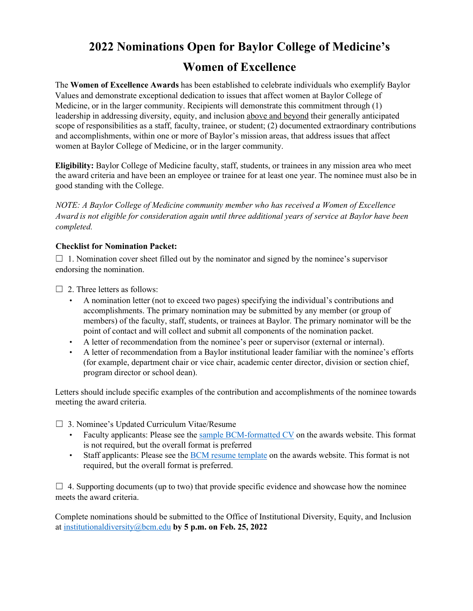## **2022 Nominations Open for Baylor College of Medicine's Women of Excellence**

The **Women of Excellence Awards** has been established to celebrate individuals who exemplify Baylor Values and demonstrate exceptional dedication to issues that affect women at Baylor College of Medicine, or in the larger community. Recipients will demonstrate this commitment through (1) leadership in addressing diversity, equity, and inclusion above and beyond their generally anticipated scope of responsibilities as a staff, faculty, trainee, or student; (2) documented extraordinary contributions and accomplishments, within one or more of Baylor's mission areas, that address issues that affect women at Baylor College of Medicine, or in the larger community.

**Eligibility:** Baylor College of Medicine faculty, staff, students, or trainees in any mission area who meet the award criteria and have been an employee or trainee for at least one year. The nominee must also be in good standing with the College.

*NOTE: A Baylor College of Medicine community member who has received a Women of Excellence Award is not eligible for consideration again until three additional years of service at Baylor have been completed.*

## **Checklist for Nomination Packet:**

 $\Box$  1. Nomination cover sheet filled out by the nominator and signed by the nominee's supervisor endorsing the nomination.

 $\Box$  2. Three letters as follows:

- A nomination letter (not to exceed two pages) specifying the individual's contributions and accomplishments. The primary nomination may be submitted by any member (or group of members) of the faculty, staff, students, or trainees at Baylor. The primary nominator will be the point of contact and will collect and submit all components of the nomination packet.
- A letter of recommendation from the nominee's peer or supervisor (external or internal).
- A letter of recommendation from a Baylor institutional leader familiar with the nominee's efforts (for example, department chair or vice chair, academic center director, division or section chief, program director or school dean).

Letters should include specific examples of the contribution and accomplishments of the nominee towards meeting the award criteria.

☐ 3. Nominee's Updated Curriculum Vitae/Resume

- Faculty applicants: Please see the [sample BCM-formatted CV](https://www.bcm.edu/about-us/diversity-equity-and-inclusion/programs/women-of-excellence-awards) on the awards website. This format is not required, but the overall format is preferred
- Staff applicants: Please see the BCM [resume template](https://cdn.bcm.edu/sites/default/files/bcm-formatted-resume-for-staff.pdf) on the awards website. This format is not required, but the overall format is preferred.

 $\Box$  4. Supporting documents (up to two) that provide specific evidence and showcase how the nominee meets the award criteria.

Complete nominations should be submitted to the Office of Institutional Diversity, Equity, and Inclusion at institutionaldiversity@bcm.edu **by 5 p.m. on Feb. 25, 2022**